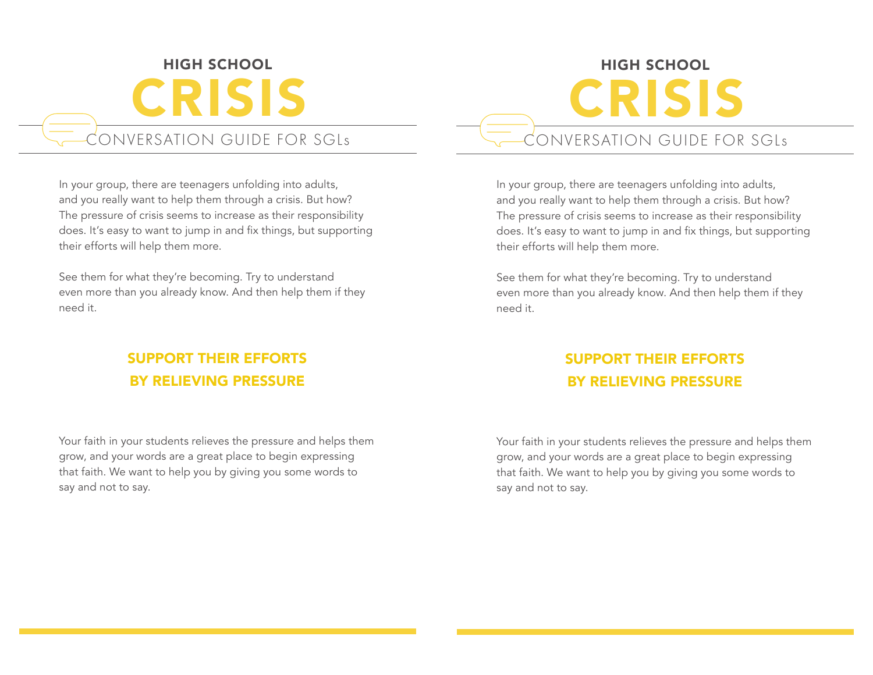# HIGH SCHOOL CRISIS CONVERSATION GUIDE FOR SGLs

In your group, there are teenagers unfolding into adults, and you really want to help them through a crisis. But how? The pressure of crisis seems to increase as their responsibility does. It's easy to want to jump in and fix things, but supporting their efforts will help them more.

See them for what they're becoming. Try to understand even more than you already know. And then help them if they need it.

## SUPPORT THEIR EFFORTS BY RELIEVING PRESSURE

Your faith in your students relieves the pressure and helps them grow, and your words are a great place to begin expressing that faith. We want to help you by giving you some words to say and not to say.

# HIGH SCHOOL CRISIS CONVERSATION GUIDE FOR SGLs

In your group, there are teenagers unfolding into adults, and you really want to help them through a crisis. But how? The pressure of crisis seems to increase as their responsibility does. It's easy to want to jump in and fix things, but supporting their efforts will help them more.

See them for what they're becoming. Try to understand even more than you already know. And then help them if they need it.

## SUPPORT THEIR EFFORTS BY RELIEVING PRESSURE

Your faith in your students relieves the pressure and helps them grow, and your words are a great place to begin expressing that faith. We want to help you by giving you some words to say and not to say.